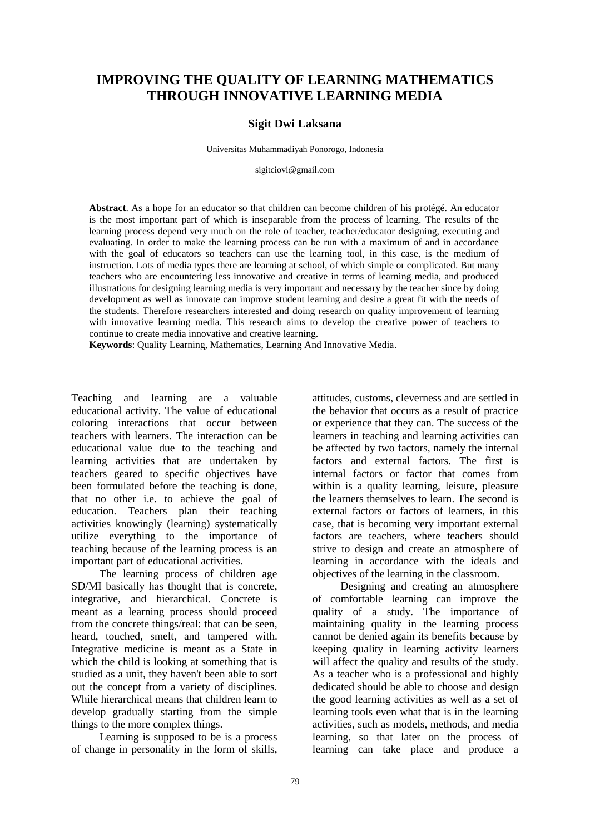# **IMPROVING THE QUALITY OF LEARNING MATHEMATICS THROUGH INNOVATIVE LEARNING MEDIA**

#### **Sigit Dwi Laksana**

Universitas Muhammadiyah Ponorogo, Indonesia

sigitciovi@gmail.com

**Abstract**. As a hope for an educator so that children can become children of his protégé. An educator is the most important part of which is inseparable from the process of learning. The results of the learning process depend very much on the role of teacher, teacher/educator designing, executing and evaluating. In order to make the learning process can be run with a maximum of and in accordance with the goal of educators so teachers can use the learning tool, in this case, is the medium of instruction. Lots of media types there are learning at school, of which simple or complicated. But many teachers who are encountering less innovative and creative in terms of learning media, and produced illustrations for designing learning media is very important and necessary by the teacher since by doing development as well as innovate can improve student learning and desire a great fit with the needs of the students. Therefore researchers interested and doing research on quality improvement of learning with innovative learning media. This research aims to develop the creative power of teachers to continue to create media innovative and creative learning.

**Keywords**: Quality Learning, Mathematics, Learning And Innovative Media.

Teaching and learning are a valuable educational activity. The value of educational coloring interactions that occur between teachers with learners. The interaction can be educational value due to the teaching and learning activities that are undertaken by teachers geared to specific objectives have been formulated before the teaching is done, that no other i.e. to achieve the goal of education. Teachers plan their teaching activities knowingly (learning) systematically utilize everything to the importance of teaching because of the learning process is an important part of educational activities.

The learning process of children age SD/MI basically has thought that is concrete, integrative, and hierarchical. Concrete is meant as a learning process should proceed from the concrete things/real: that can be seen, heard, touched, smelt, and tampered with. Integrative medicine is meant as a State in which the child is looking at something that is studied as a unit, they haven't been able to sort out the concept from a variety of disciplines. While hierarchical means that children learn to develop gradually starting from the simple things to the more complex things.

Learning is supposed to be is a process of change in personality in the form of skills, attitudes, customs, cleverness and are settled in the behavior that occurs as a result of practice or experience that they can. The success of the learners in teaching and learning activities can be affected by two factors, namely the internal factors and external factors. The first is internal factors or factor that comes from within is a quality learning, leisure, pleasure the learners themselves to learn. The second is external factors or factors of learners, in this case, that is becoming very important external factors are teachers, where teachers should strive to design and create an atmosphere of learning in accordance with the ideals and objectives of the learning in the classroom.

Designing and creating an atmosphere of comfortable learning can improve the quality of a study. The importance of maintaining quality in the learning process cannot be denied again its benefits because by keeping quality in learning activity learners will affect the quality and results of the study. As a teacher who is a professional and highly dedicated should be able to choose and design the good learning activities as well as a set of learning tools even what that is in the learning activities, such as models, methods, and media learning, so that later on the process of learning can take place and produce a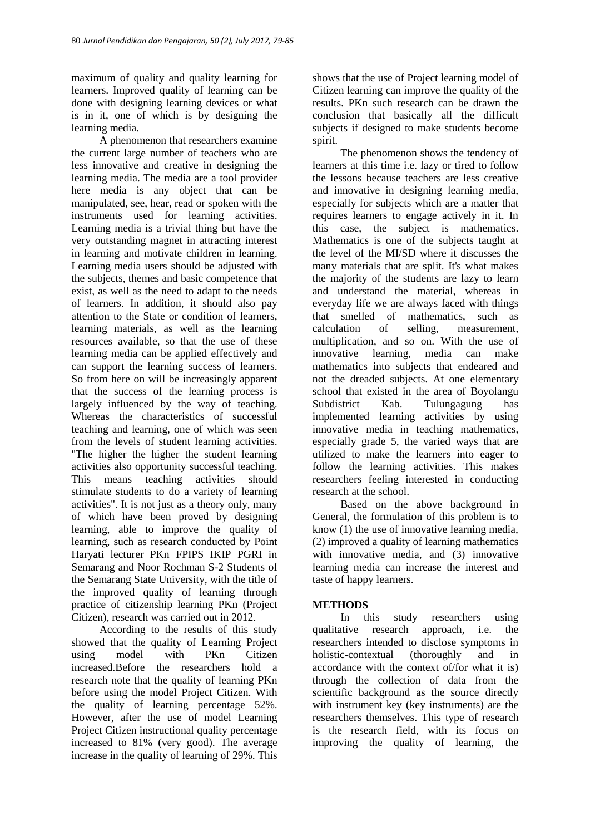maximum of quality and quality learning for learners. Improved quality of learning can be done with designing learning devices or what is in it, one of which is by designing the learning media.

A phenomenon that researchers examine the current large number of teachers who are less innovative and creative in designing the learning media. The media are a tool provider here media is any object that can be manipulated, see, hear, read or spoken with the instruments used for learning activities. Learning media is a trivial thing but have the very outstanding magnet in attracting interest in learning and motivate children in learning. Learning media users should be adjusted with the subjects, themes and basic competence that exist, as well as the need to adapt to the needs of learners. In addition, it should also pay attention to the State or condition of learners, learning materials, as well as the learning resources available, so that the use of these learning media can be applied effectively and can support the learning success of learners. So from here on will be increasingly apparent that the success of the learning process is largely influenced by the way of teaching. Whereas the characteristics of successful teaching and learning, one of which was seen from the levels of student learning activities. "The higher the higher the student learning activities also opportunity successful teaching. This means teaching activities should stimulate students to do a variety of learning activities". It is not just as a theory only, many of which have been proved by designing learning, able to improve the quality of learning, such as research conducted by Point Haryati lecturer PKn FPIPS IKIP PGRI in Semarang and Noor Rochman S-2 Students of the Semarang State University, with the title of the improved quality of learning through practice of citizenship learning PKn (Project Citizen), research was carried out in 2012.

According to the results of this study showed that the quality of Learning Project using model with PKn Citizen increased.Before the researchers hold a research note that the quality of learning PKn before using the model Project Citizen. With the quality of learning percentage 52%. However, after the use of model Learning Project Citizen instructional quality percentage increased to 81% (very good). The average increase in the quality of learning of 29%. This

shows that the use of Project learning model of Citizen learning can improve the quality of the results. PKn such research can be drawn the conclusion that basically all the difficult subjects if designed to make students become spirit.

The phenomenon shows the tendency of learners at this time i.e. lazy or tired to follow the lessons because teachers are less creative and innovative in designing learning media, especially for subjects which are a matter that requires learners to engage actively in it. In this case, the subject is mathematics. Mathematics is one of the subjects taught at the level of the MI/SD where it discusses the many materials that are split. It's what makes the majority of the students are lazy to learn and understand the material, whereas in everyday life we are always faced with things that smelled of mathematics, such as calculation of selling, measurement, multiplication, and so on. With the use of innovative learning, media can make mathematics into subjects that endeared and not the dreaded subjects. At one elementary school that existed in the area of Boyolangu Subdistrict Kab. Tulungagung has implemented learning activities by using innovative media in teaching mathematics, especially grade 5, the varied ways that are utilized to make the learners into eager to follow the learning activities. This makes researchers feeling interested in conducting research at the school.

Based on the above background in General, the formulation of this problem is to know (1) the use of innovative learning media, (2) improved a quality of learning mathematics with innovative media, and (3) innovative learning media can increase the interest and taste of happy learners.

## **METHODS**

In this study researchers using qualitative research approach, i.e. the researchers intended to disclose symptoms in holistic-contextual (thoroughly and in accordance with the context of/for what it is) through the collection of data from the scientific background as the source directly with instrument key (key instruments) are the researchers themselves. This type of research is the research field, with its focus on improving the quality of learning, the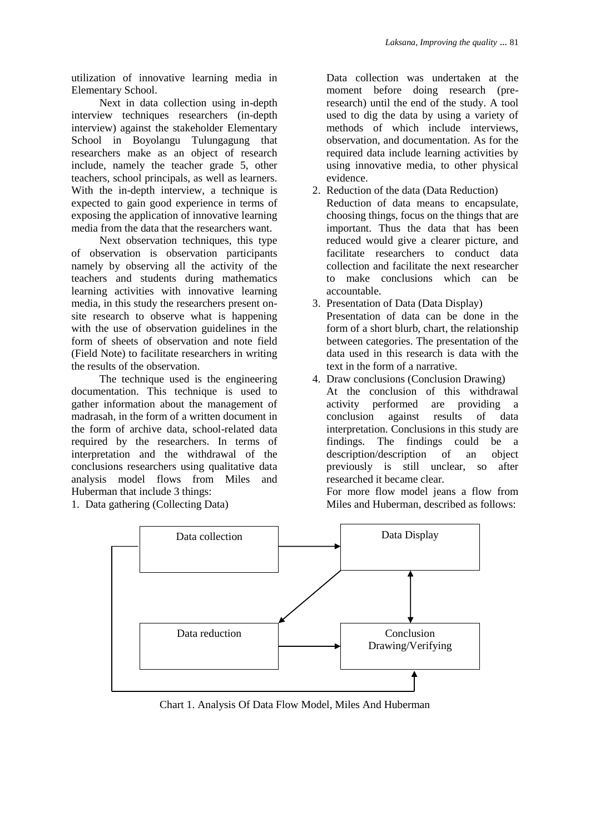utilization of innovative learning media in Elementary School.

Next in data collection using in-depth interview techniques researchers (in-depth interview) against the stakeholder Elementary School in Boyolangu Tulungagung that researchers make as an object of research include, namely the teacher grade 5, other teachers, school principals, as well as learners. With the in-depth interview, a technique is expected to gain good experience in terms of exposing the application of innovative learning media from the data that the researchers want.

Next observation techniques, this type of observation is observation participants namely by observing all the activity of the teachers and students during mathematics learning activities with innovative learning media, in this study the researchers present onsite research to observe what is happening with the use of observation guidelines in the form of sheets of observation and note field (Field Note) to facilitate researchers in writing the results of the observation.

The technique used is the engineering documentation. This technique is used to gather information about the management of madrasah, in the form of a written document in the form of archive data, school-related data required by the researchers. In terms of interpretation and the withdrawal of the conclusions researchers using qualitative data analysis model flows from Miles and Huberman that include 3 things:

1. Data gathering (Collecting Data)

Data collection was undertaken at the moment before doing research (preresearch) until the end of the study. A tool used to dig the data by using a variety of methods of which include interviews, observation, and documentation. As for the required data include learning activities by using innovative media, to other physical evidence.

- 2. Reduction of the data (Data Reduction) Reduction of data means to encapsulate, choosing things, focus on the things that are important. Thus the data that has been reduced would give a clearer picture, and facilitate researchers to conduct data collection and facilitate the next researcher to make conclusions which can be accountable.
- 3. Presentation of Data (Data Display) Presentation of data can be done in the form of a short blurb, chart, the relationship between categories. The presentation of the data used in this research is data with the text in the form of a narrative.
- 4. Draw conclusions (Conclusion Drawing) At the conclusion of this withdrawal activity performed are providing a conclusion against results of data interpretation. Conclusions in this study are findings. The findings could be a description/description of an object previously is still unclear, so after researched it became clear.

For more flow model jeans a flow from Miles and Huberman, described as follows:



Chart 1. Analysis Of Data Flow Model, Miles And Huberman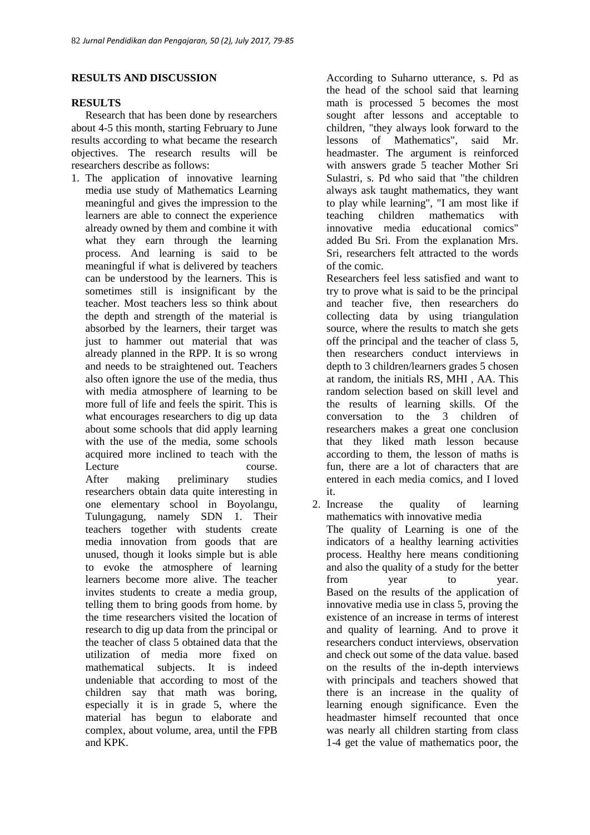## **RESULTS AND DISCUSSION**

## **RESULTS**

Research that has been done by researchers about 4-5 this month, starting February to June results according to what became the research objectives. The research results will be researchers describe as follows:

1. The application of innovative learning media use study of Mathematics Learning meaningful and gives the impression to the learners are able to connect the experience already owned by them and combine it with what they earn through the learning process. And learning is said to be meaningful if what is delivered by teachers can be understood by the learners. This is sometimes still is insignificant by the teacher. Most teachers less so think about the depth and strength of the material is absorbed by the learners, their target was just to hammer out material that was already planned in the RPP. It is so wrong and needs to be straightened out. Teachers also often ignore the use of the media, thus with media atmosphere of learning to be more full of life and feels the spirit. This is what encourages researchers to dig up data about some schools that did apply learning with the use of the media, some schools acquired more inclined to teach with the Lecture course. After making preliminary studies researchers obtain data quite interesting in

one elementary school in Boyolangu, Tulungagung, namely SDN 1. Their teachers together with students create media innovation from goods that are unused, though it looks simple but is able to evoke the atmosphere of learning learners become more alive. The teacher invites students to create a media group, telling them to bring goods from home. by the time researchers visited the location of research to dig up data from the principal or the teacher of class 5 obtained data that the utilization of media more fixed on mathematical subjects. It is indeed undeniable that according to most of the children say that math was boring, especially it is in grade 5, where the material has begun to elaborate and complex, about volume, area, until the FPB and KPK.

According to Suharno utterance, s. Pd as the head of the school said that learning math is processed 5 becomes the most sought after lessons and acceptable to children, "they always look forward to the lessons of Mathematics", said Mr. headmaster. The argument is reinforced with answers grade 5 teacher Mother Sri Sulastri, s. Pd who said that "the children always ask taught mathematics, they want to play while learning", "I am most like if teaching children mathematics with innovative media educational comics" added Bu Sri. From the explanation Mrs. Sri, researchers felt attracted to the words of the comic.

Researchers feel less satisfied and want to try to prove what is said to be the principal and teacher five, then researchers do collecting data by using triangulation source, where the results to match she gets off the principal and the teacher of class 5, then researchers conduct interviews in depth to 3 children/learners grades 5 chosen at random, the initials RS, MHI , AA. This random selection based on skill level and the results of learning skills. Of the conversation to the 3 children of researchers makes a great one conclusion that they liked math lesson because according to them, the lesson of maths is fun, there are a lot of characters that are entered in each media comics, and I loved it.

2. Increase the quality of learning mathematics with innovative media The quality of Learning is one of the indicators of a healthy learning activities process. Healthy here means conditioning and also the quality of a study for the better from year to year. Based on the results of the application of innovative media use in class 5, proving the existence of an increase in terms of interest and quality of learning. And to prove it researchers conduct interviews, observation and check out some of the data value. based on the results of the in-depth interviews with principals and teachers showed that there is an increase in the quality of learning enough significance. Even the headmaster himself recounted that once was nearly all children starting from class 1-4 get the value of mathematics poor, the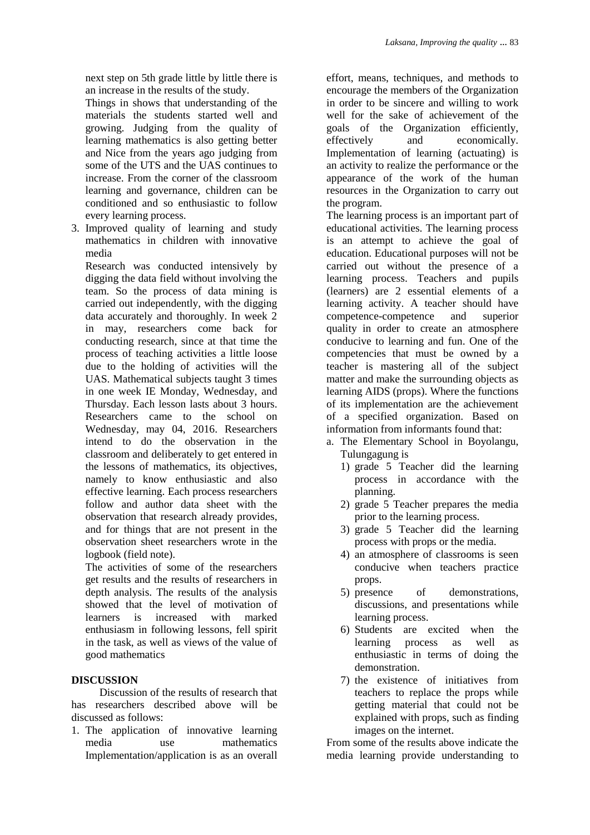next step on 5th grade little by little there is an increase in the results of the study.

Things in shows that understanding of the materials the students started well and growing. Judging from the quality of learning mathematics is also getting better and Nice from the years ago judging from some of the UTS and the UAS continues to increase. From the corner of the classroom learning and governance, children can be conditioned and so enthusiastic to follow every learning process.

3. Improved quality of learning and study mathematics in children with innovative media

Research was conducted intensively by digging the data field without involving the team. So the process of data mining is carried out independently, with the digging data accurately and thoroughly. In week 2 in may, researchers come back for conducting research, since at that time the process of teaching activities a little loose due to the holding of activities will the UAS. Mathematical subjects taught 3 times in one week IE Monday, Wednesday, and Thursday. Each lesson lasts about 3 hours. Researchers came to the school on Wednesday, may 04, 2016. Researchers intend to do the observation in the classroom and deliberately to get entered in the lessons of mathematics, its objectives, namely to know enthusiastic and also effective learning. Each process researchers follow and author data sheet with the observation that research already provides, and for things that are not present in the observation sheet researchers wrote in the logbook (field note).

The activities of some of the researchers get results and the results of researchers in depth analysis. The results of the analysis showed that the level of motivation of learners is increased with marked enthusiasm in following lessons, fell spirit in the task, as well as views of the value of good mathematics

# **DISCUSSION**

Discussion of the results of research that has researchers described above will be discussed as follows:

1. The application of innovative learning media use mathematics Implementation/application is as an overall effort, means, techniques, and methods to encourage the members of the Organization in order to be sincere and willing to work well for the sake of achievement of the goals of the Organization efficiently, effectively and economically. Implementation of learning (actuating) is an activity to realize the performance or the appearance of the work of the human resources in the Organization to carry out the program.

The learning process is an important part of educational activities. The learning process is an attempt to achieve the goal of education. Educational purposes will not be carried out without the presence of a learning process. Teachers and pupils (learners) are 2 essential elements of a learning activity. A teacher should have competence-competence and superior quality in order to create an atmosphere conducive to learning and fun. One of the competencies that must be owned by a teacher is mastering all of the subject matter and make the surrounding objects as learning AIDS (props). Where the functions of its implementation are the achievement of a specified organization. Based on information from informants found that:

- a. The Elementary School in Boyolangu, Tulungagung is
	- 1) grade 5 Teacher did the learning process in accordance with the planning.
	- 2) grade 5 Teacher prepares the media prior to the learning process.
	- 3) grade 5 Teacher did the learning process with props or the media.
	- 4) an atmosphere of classrooms is seen conducive when teachers practice props.
	- 5) presence of demonstrations, discussions, and presentations while learning process.
	- 6) Students are excited when the learning process as well as enthusiastic in terms of doing the demonstration.
	- 7) the existence of initiatives from teachers to replace the props while getting material that could not be explained with props, such as finding images on the internet.

From some of the results above indicate the media learning provide understanding to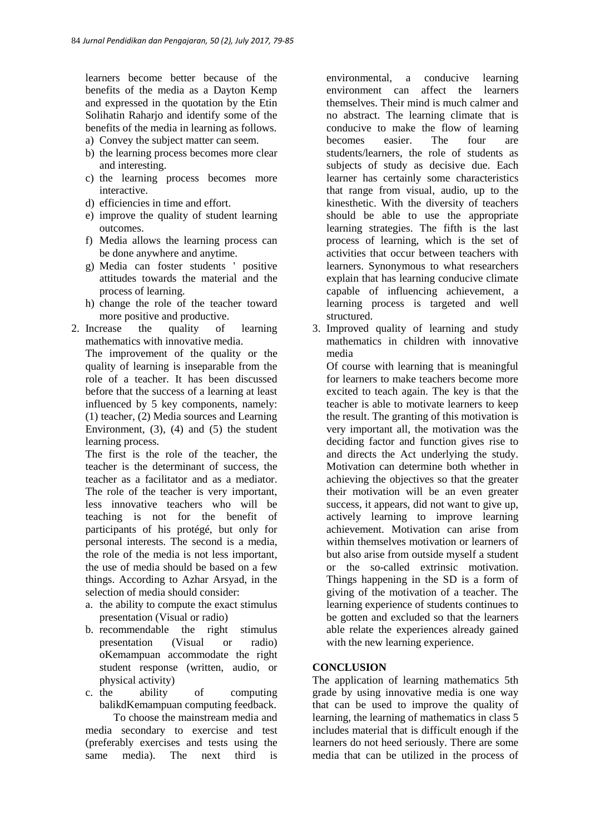learners become better because of the benefits of the media as a Dayton Kemp and expressed in the quotation by the Etin Solihatin Raharjo and identify some of the benefits of the media in learning as follows.

- a) Convey the subject matter can seem.
- b) the learning process becomes more clear and interesting.
- c) the learning process becomes more interactive.
- d) efficiencies in time and effort.
- e) improve the quality of student learning outcomes.
- f) Media allows the learning process can be done anywhere and anytime.
- g) Media can foster students ' positive attitudes towards the material and the process of learning.
- h) change the role of the teacher toward more positive and productive.
- 2. Increase the quality of learning mathematics with innovative media.

The improvement of the quality or the quality of learning is inseparable from the role of a teacher. It has been discussed before that the success of a learning at least influenced by 5 key components, namely: (1) teacher, (2) Media sources and Learning Environment, (3), (4) and (5) the student learning process.

The first is the role of the teacher, the teacher is the determinant of success, the teacher as a facilitator and as a mediator. The role of the teacher is very important, less innovative teachers who will be teaching is not for the benefit of participants of his protégé, but only for personal interests. The second is a media, the role of the media is not less important, the use of media should be based on a few things. According to Azhar Arsyad, in the selection of media should consider:

- a. the ability to compute the exact stimulus presentation (Visual or radio)
- b. recommendable the right stimulus presentation (Visual or radio) oKemampuan accommodate the right student response (written, audio, or physical activity)
- c. the ability of computing balikdKemampuan computing feedback.

To choose the mainstream media and media secondary to exercise and test (preferably exercises and tests using the same media). The next third is

environmental, a conducive learning environment can affect the learners themselves. Their mind is much calmer and no abstract. The learning climate that is conducive to make the flow of learning becomes easier. The four are students/learners, the role of students as subjects of study as decisive due. Each learner has certainly some characteristics that range from visual, audio, up to the kinesthetic. With the diversity of teachers should be able to use the appropriate learning strategies. The fifth is the last process of learning, which is the set of activities that occur between teachers with learners. Synonymous to what researchers explain that has learning conducive climate capable of influencing achievement, a learning process is targeted and well structured.

3. Improved quality of learning and study mathematics in children with innovative media

Of course with learning that is meaningful for learners to make teachers become more excited to teach again. The key is that the teacher is able to motivate learners to keep the result. The granting of this motivation is very important all, the motivation was the deciding factor and function gives rise to and directs the Act underlying the study. Motivation can determine both whether in achieving the objectives so that the greater their motivation will be an even greater success, it appears, did not want to give up, actively learning to improve learning achievement. Motivation can arise from within themselves motivation or learners of but also arise from outside myself a student or the so-called extrinsic motivation. Things happening in the SD is a form of giving of the motivation of a teacher. The learning experience of students continues to be gotten and excluded so that the learners able relate the experiences already gained with the new learning experience.

## **CONCLUSION**

The application of learning mathematics 5th grade by using innovative media is one way that can be used to improve the quality of learning, the learning of mathematics in class 5 includes material that is difficult enough if the learners do not heed seriously. There are some media that can be utilized in the process of